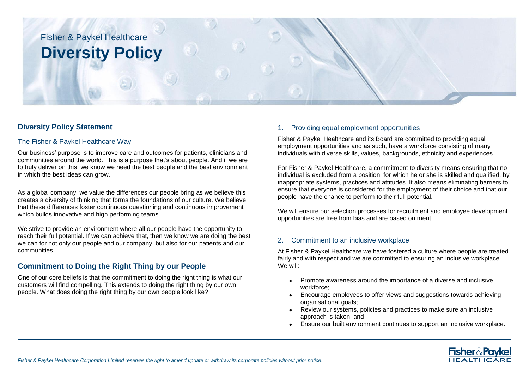

# **Diversity Policy Statement**

### The Fisher & Paykel Healthcare Way

Our business' purpose is to improve care and outcomes for patients, clinicians and communities around the world. This is a purpose that's about people. And if we are to truly deliver on this, we know we need the best people and the best environment in which the best ideas can grow.

As a global company, we value the differences our people bring as we believe this creates a diversity of thinking that forms the foundations of our culture. We believe that these differences foster continuous questioning and continuous improvement which builds innovative and high performing teams.

We strive to provide an environment where all our people have the opportunity to reach their full potential. If we can achieve that, then we know we are doing the best we can for not only our people and our company, but also for our patients and our communities.

# **Commitment to Doing the Right Thing by our People**

One of our core beliefs is that the commitment to doing the right thing is what our customers will find compelling. This extends to doing the right thing by our own people. What does doing the right thing by our own people look like?

### 1. Providing equal employment opportunities

Fisher & Paykel Healthcare and its Board are committed to providing equal employment opportunities and as such, have a workforce consisting of many individuals with diverse skills, values, backgrounds, ethnicity and experiences.

For Fisher & Paykel Healthcare, a commitment to diversity means ensuring that no individual is excluded from a position, for which he or she is skilled and qualified, by inappropriate systems, practices and attitudes. It also means eliminating barriers to ensure that everyone is considered for the employment of their choice and that our people have the chance to perform to their full potential.

We will ensure our selection processes for recruitment and employee development opportunities are free from bias and are based on merit.

### 2. Commitment to an inclusive workplace

At Fisher & Paykel Healthcare we have fostered a culture where people are treated fairly and with respect and we are committed to ensuring an inclusive workplace. We will:

- Promote awareness around the importance of a diverse and inclusive workforce;
- Encourage employees to offer views and suggestions towards achieving organisational goals;
- Review our systems, policies and practices to make sure an inclusive approach is taken; and
- Ensure our built environment continues to support an inclusive workplace.